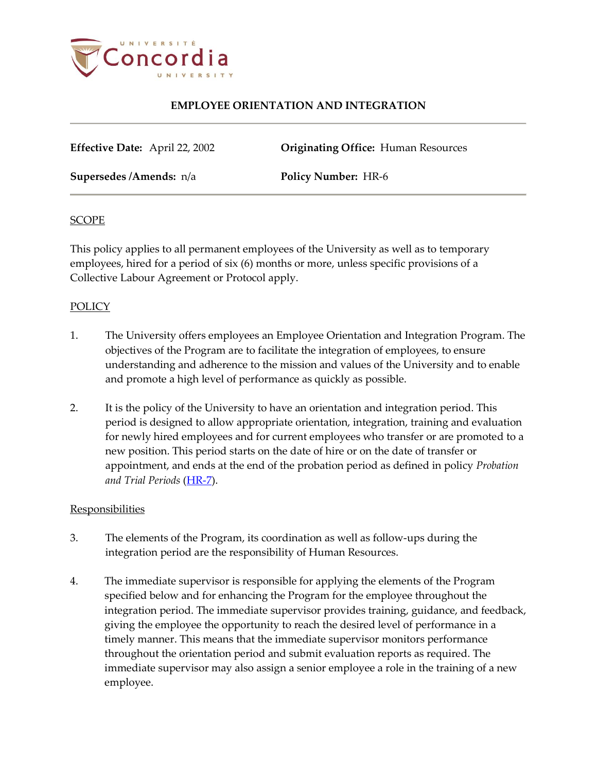

# **EMPLOYEE ORIENTATION AND INTEGRATION**

**Effective Date:** April 22, 2002 **Originating Office:** Human Resources

**Supersedes /Amends:** n/a **Policy Number:** HR-6

### **SCOPE**

This policy applies to all permanent employees of the University as well as to temporary employees, hired for a period of six (6) months or more, unless specific provisions of a Collective Labour Agreement or Protocol apply.

# POLICY

- 1. The University offers employees an Employee Orientation and Integration Program. The objectives of the Program are to facilitate the integration of employees, to ensure understanding and adherence to the mission and values of the University and to enable and promote a high level of performance as quickly as possible.
- 2. It is the policy of the University to have an orientation and integration period. This period is designed to allow appropriate orientation, integration, training and evaluation for newly hired employees and for current employees who transfer or are promoted to a new position. This period starts on the date of hire or on the date of transfer or appointment, and ends at the end of the probation period as defined in policy *Probation and Trial Periods* [\(HR-7\)](http://www.concordia.ca/vpirsg/documents/policies/HR-7.pdf).

# **Responsibilities**

- 3. The elements of the Program, its coordination as well as follow-ups during the integration period are the responsibility of Human Resources.
- 4. The immediate supervisor is responsible for applying the elements of the Program specified below and for enhancing the Program for the employee throughout the integration period. The immediate supervisor provides training, guidance, and feedback, giving the employee the opportunity to reach the desired level of performance in a timely manner. This means that the immediate supervisor monitors performance throughout the orientation period and submit evaluation reports as required. The immediate supervisor may also assign a senior employee a role in the training of a new employee.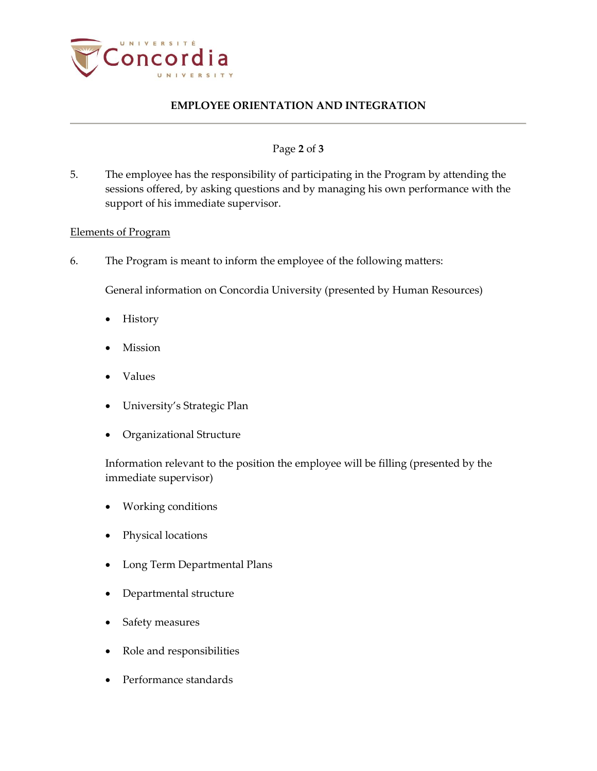

# **EMPLOYEE ORIENTATION AND INTEGRATION**

## Page **2** of **3**

5. The employee has the responsibility of participating in the Program by attending the sessions offered, by asking questions and by managing his own performance with the support of his immediate supervisor.

### Elements of Program

6. The Program is meant to inform the employee of the following matters:

General information on Concordia University (presented by Human Resources)

- History
- Mission
- Values
- University's Strategic Plan
- Organizational Structure

Information relevant to the position the employee will be filling (presented by the immediate supervisor)

- Working conditions
- Physical locations
- Long Term Departmental Plans
- Departmental structure
- Safety measures
- Role and responsibilities
- Performance standards